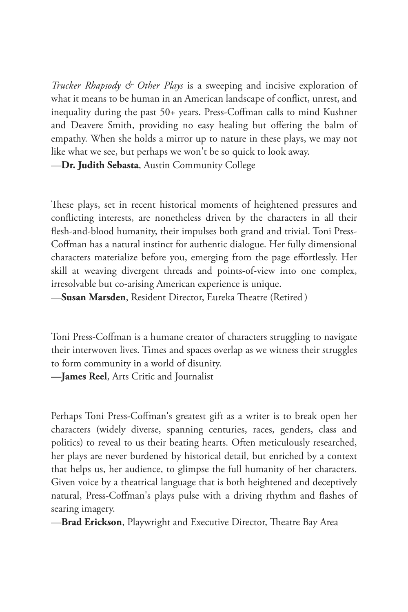*Trucker Rhapsody & Other Plays* is a sweeping and incisive exploration of what it means to be human in an American landscape of conflict, unrest, and inequality during the past 50+ years. Press-Coffman calls to mind Kushner and Deavere Smith, providing no easy healing but offering the balm of empathy. When she holds a mirror up to nature in these plays, we may not like what we see, but perhaps we won't be so quick to look away. —**Dr. Judith Sebasta**, Austin Community College

These plays, set in recent historical moments of heightened pressures and conflicting interests, are nonetheless driven by the characters in all their flesh-and-blood humanity, their impulses both grand and trivial. Toni Press-Coffman has a natural instinct for authentic dialogue. Her fully dimensional characters materialize before you, emerging from the page effortlessly. Her skill at weaving divergent threads and points-of-view into one complex, irresolvable but co-arising American experience is unique.

—**Susan Marsden**, Resident Director, Eureka Theatre (Retired )

Toni Press-Coffman is a humane creator of characters struggling to navigate their interwoven lives. Times and spaces overlap as we witness their struggles to form community in a world of disunity.

**—James Reel**, Arts Critic and Journalist

Perhaps Toni Press-Coffman's greatest gift as a writer is to break open her characters (widely diverse, spanning centuries, races, genders, class and politics) to reveal to us their beating hearts. Often meticulously researched, her plays are never burdened by historical detail, but enriched by a context that helps us, her audience, to glimpse the full humanity of her characters. Given voice by a theatrical language that is both heightened and deceptively natural, Press-Coffman's plays pulse with a driving rhythm and flashes of searing imagery.

—**Brad Erickson**, Playwright and Executive Director, Theatre Bay Area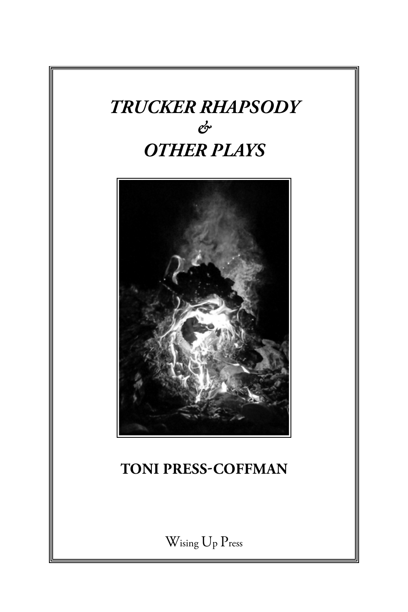# *TRUCKER RHAPSODY & OTHER PLAYS*



# **TONI PRESS-COFFMAN**

Wising Up Press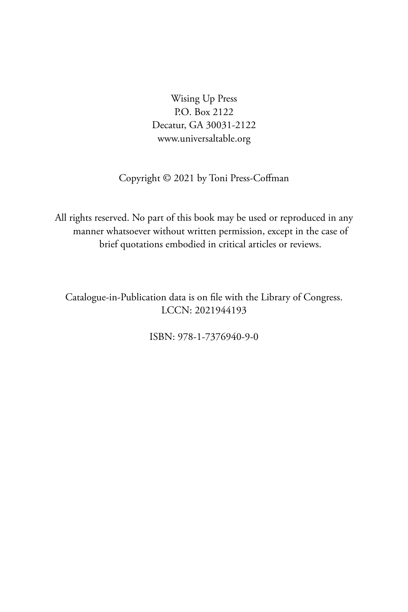Wising Up Press P.O. Box 2122 Decatur, GA 30031-2122 www.universaltable.org

### Copyright © 2021 by Toni Press-Coffman

All rights reserved. No part of this book may be used or reproduced in any manner whatsoever without written permission, except in the case of brief quotations embodied in critical articles or reviews.

Catalogue-in-Publication data is on file with the Library of Congress. LCCN: 2021944193

ISBN: 978-1-7376940-9-0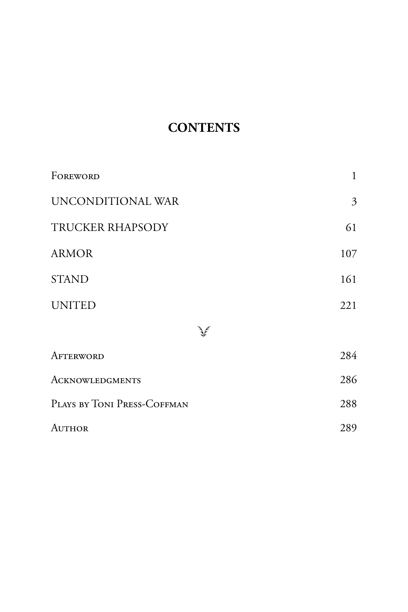## **CONTENTS**

| FOREWORD                    | $\mathbf{1}$              |
|-----------------------------|---------------------------|
| UNCONDITIONAL WAR           | $\overline{\mathfrak{Z}}$ |
| TRUCKER RHAPSODY            | 61                        |
| <b>ARMOR</b>                | 107                       |
| <b>STAND</b>                | 161                       |
| <b>UNITED</b>               | 221                       |
|                             |                           |
| AFTERWORD                   | 284                       |
| <b>ACKNOWLEDGMENTS</b>      | 286                       |
| PLAYS BY TONI PRESS-COFFMAN | 288                       |
| AUTHOR                      | 289                       |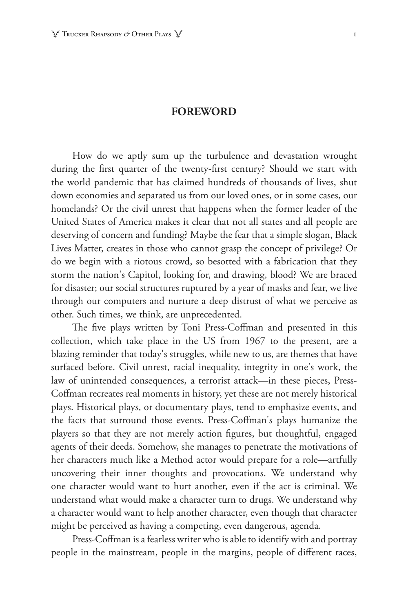#### **FOREWORD**

How do we aptly sum up the turbulence and devastation wrought during the first quarter of the twenty-first century? Should we start with the world pandemic that has claimed hundreds of thousands of lives, shut down economies and separated us from our loved ones, or in some cases, our homelands? Or the civil unrest that happens when the former leader of the United States of America makes it clear that not all states and all people are deserving of concern and funding? Maybe the fear that a simple slogan, Black Lives Matter, creates in those who cannot grasp the concept of privilege? Or do we begin with a riotous crowd, so besotted with a fabrication that they storm the nation's Capitol, looking for, and drawing, blood? We are braced for disaster; our social structures ruptured by a year of masks and fear, we live through our computers and nurture a deep distrust of what we perceive as other. Such times, we think, are unprecedented.

The five plays written by Toni Press-Coffman and presented in this collection, which take place in the US from 1967 to the present, are a blazing reminder that today's struggles, while new to us, are themes that have surfaced before. Civil unrest, racial inequality, integrity in one's work, the law of unintended consequences, a terrorist attack—in these pieces, Press-Coffman recreates real moments in history, yet these are not merely historical plays. Historical plays, or documentary plays, tend to emphasize events, and the facts that surround those events. Press-Coffman's plays humanize the players so that they are not merely action figures, but thoughtful, engaged agents of their deeds. Somehow, she manages to penetrate the motivations of her characters much like a Method actor would prepare for a role—artfully uncovering their inner thoughts and provocations. We understand why one character would want to hurt another, even if the act is criminal. We understand what would make a character turn to drugs. We understand why a character would want to help another character, even though that character might be perceived as having a competing, even dangerous, agenda.

Press-Coffman is a fearless writer who is able to identify with and portray people in the mainstream, people in the margins, people of different races,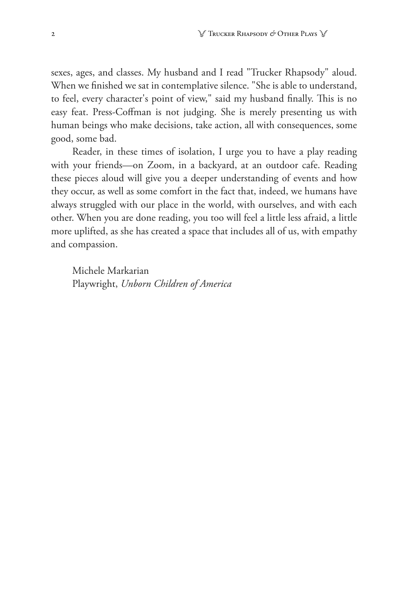sexes, ages, and classes. My husband and I read "Trucker Rhapsody" aloud. When we finished we sat in contemplative silence. "She is able to understand, to feel, every character's point of view," said my husband finally. This is no easy feat. Press-Coffman is not judging. She is merely presenting us with human beings who make decisions, take action, all with consequences, some good, some bad.

Reader, in these times of isolation, I urge you to have a play reading with your friends—on Zoom, in a backyard, at an outdoor cafe. Reading these pieces aloud will give you a deeper understanding of events and how they occur, as well as some comfort in the fact that, indeed, we humans have always struggled with our place in the world, with ourselves, and with each other. When you are done reading, you too will feel a little less afraid, a little more uplifted, as she has created a space that includes all of us, with empathy and compassion.

Michele Markarian Playwright, *Unborn Children of America*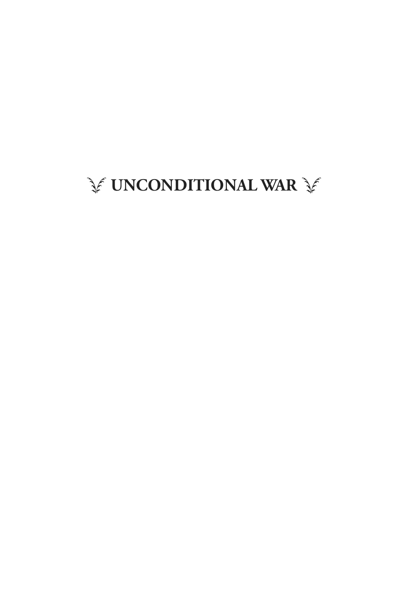# **SE UNCONDITIONAL WAR SE**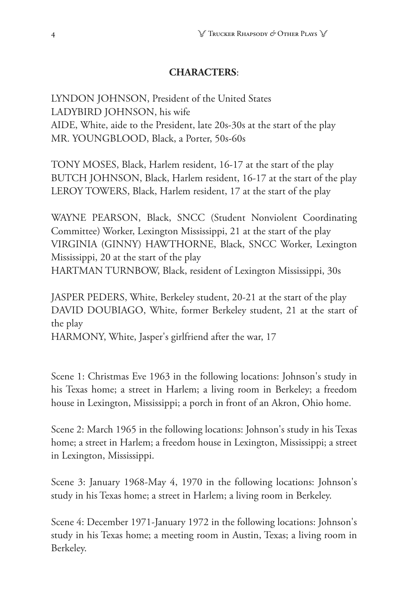#### **CHARACTERS**:

LYNDON JOHNSON, President of the United States LADYBIRD JOHNSON, his wife AIDE, White, aide to the President, late 20s-30s at the start of the play MR. YOUNGBLOOD, Black, a Porter, 50s-60s

TONY MOSES, Black, Harlem resident, 16-17 at the start of the play BUTCH JOHNSON, Black, Harlem resident, 16-17 at the start of the play LEROY TOWERS, Black, Harlem resident, 17 at the start of the play

WAYNE PEARSON, Black, SNCC (Student Nonviolent Coordinating Committee) Worker, Lexington Mississippi, 21 at the start of the play VIRGINIA (GINNY) HAWTHORNE, Black, SNCC Worker, Lexington Mississippi, 20 at the start of the play HARTMAN TURNBOW, Black, resident of Lexington Mississippi, 30s

JASPER PEDERS, White, Berkeley student, 20-21 at the start of the play DAVID DOUBIAGO, White, former Berkeley student, 21 at the start of the play

HARMONY, White, Jasper's girlfriend after the war, 17

Scene 1: Christmas Eve 1963 in the following locations: Johnson's study in his Texas home; a street in Harlem; a living room in Berkeley; a freedom house in Lexington, Mississippi; a porch in front of an Akron, Ohio home.

Scene 2: March 1965 in the following locations: Johnson's study in his Texas home; a street in Harlem; a freedom house in Lexington, Mississippi; a street in Lexington, Mississippi.

Scene 3: January 1968-May 4, 1970 in the following locations: Johnson's study in his Texas home; a street in Harlem; a living room in Berkeley.

Scene 4: December 1971-January 1972 in the following locations: Johnson's study in his Texas home; a meeting room in Austin, Texas; a living room in Berkeley.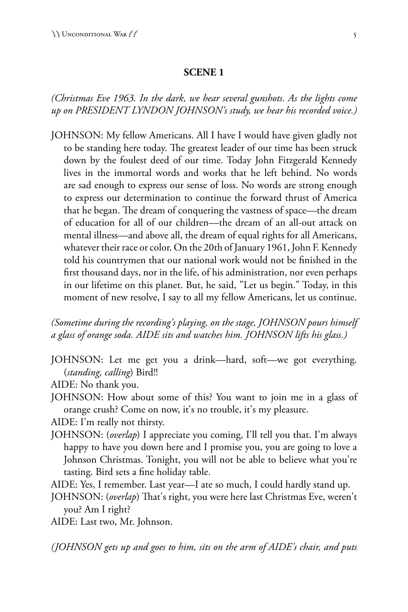#### **SCENE 1**

*(Christmas Eve 1963. In the dark, we hear several gunshots. As the lights come up on PRESIDENT LYNDON JOHNSON's study, we hear his recorded voice.)*

JOHNSON: My fellow Americans. All I have I would have given gladly not to be standing here today. The greatest leader of our time has been struck down by the foulest deed of our time. Today John Fitzgerald Kennedy lives in the immortal words and works that he left behind. No words are sad enough to express our sense of loss. No words are strong enough to express our determination to continue the forward thrust of America that he began. The dream of conquering the vastness of space—the dream of education for all of our children—the dream of an all-out attack on mental illness—and above all, the dream of equal rights for all Americans, whatever their race or color. On the 20th of January 1961, John F. Kennedy told his countrymen that our national work would not be finished in the first thousand days, nor in the life, of his administration, nor even perhaps in our lifetime on this planet. But, he said, "Let us begin." Today, in this moment of new resolve, I say to all my fellow Americans, let us continue.

*(Sometime during the recording's playing, on the stage, JOHNSON pours himself a glass of orange soda. AIDE sits and watches him. JOHNSON lifts his glass.)*

- JOHNSON: Let me get you a drink—hard, soft—we got everything. (*standing, calling*) Bird!!
- AIDE: No thank you.
- JOHNSON: How about some of this? You want to join me in a glass of orange crush? Come on now, it's no trouble, it's my pleasure.

AIDE: I'm really not thirsty.

- JOHNSON: (*overlap*) I appreciate you coming, I'll tell you that. I'm always happy to have you down here and I promise you, you are going to love a Johnson Christmas. Tonight, you will not be able to believe what you're tasting. Bird sets a fine holiday table.
- AIDE: Yes, I remember. Last year—I ate so much, I could hardly stand up.
- JOHNSON: (*overlap*) That's right, you were here last Christmas Eve, weren't you? Am I right?

AIDE: Last two, Mr. Johnson.

*(JOHNSON gets up and goes to him, sits on the arm of AIDE's chair, and puts*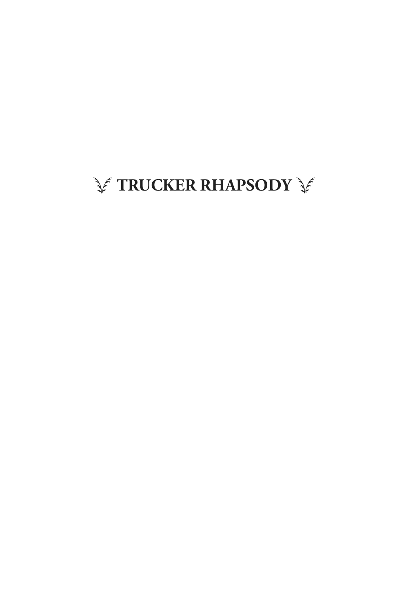# **SETRUCKER RHAPSODY SE**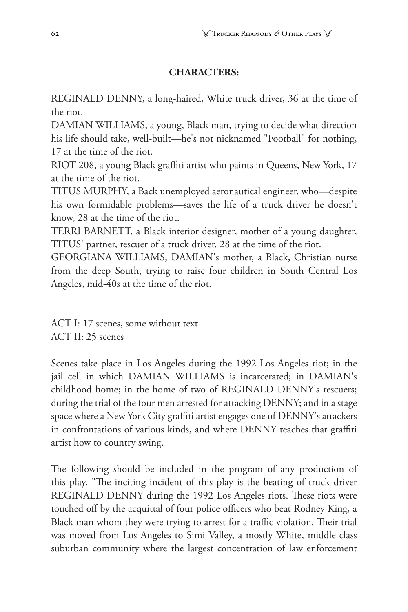#### **CHARACTERS:**

REGINALD DENNY, a long-haired, White truck driver, 36 at the time of the riot.

DAMIAN WILLIAMS, a young, Black man, trying to decide what direction his life should take, well-built—he's not nicknamed "Football" for nothing, 17 at the time of the riot.

RIOT 208, a young Black graffiti artist who paints in Queens, New York, 17 at the time of the riot.

TITUS MURPHY, a Back unemployed aeronautical engineer, who—despite his own formidable problems—saves the life of a truck driver he doesn't know, 28 at the time of the riot.

TERRI BARNETT, a Black interior designer, mother of a young daughter, TITUS' partner, rescuer of a truck driver, 28 at the time of the riot.

GEORGIANA WILLIAMS, DAMIAN's mother, a Black, Christian nurse from the deep South, trying to raise four children in South Central Los Angeles, mid-40s at the time of the riot.

ACT I: 17 scenes, some without text ACT II: 25 scenes

Scenes take place in Los Angeles during the 1992 Los Angeles riot; in the jail cell in which DAMIAN WILLIAMS is incarcerated; in DAMIAN's childhood home; in the home of two of REGINALD DENNY's rescuers; during the trial of the four men arrested for attacking DENNY; and in a stage space where a New York City graffiti artist engages one of DENNY's attackers in confrontations of various kinds, and where DENNY teaches that graffiti artist how to country swing.

The following should be included in the program of any production of this play. "The inciting incident of this play is the beating of truck driver REGINALD DENNY during the 1992 Los Angeles riots. These riots were touched off by the acquittal of four police officers who beat Rodney King, a Black man whom they were trying to arrest for a traffic violation. Their trial was moved from Los Angeles to Simi Valley, a mostly White, middle class suburban community where the largest concentration of law enforcement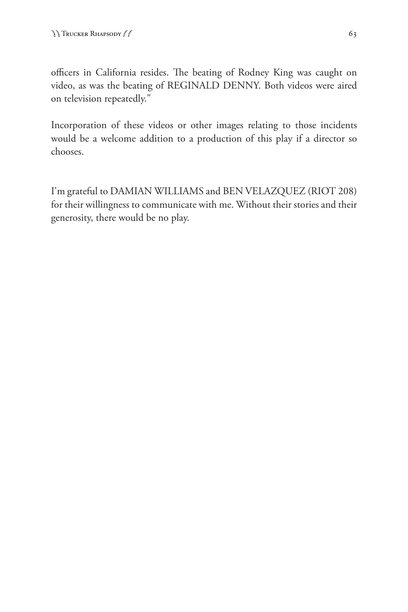officers in California resides. The beating of Rodney King was caught on video, as was the beating of REGINALD DENNY. Both videos were aired on television repeatedly."

Incorporation of these videos or other images relating to those incidents would be a welcome addition to a production of this play if a director so chooses.

I'm grateful to DAMIAN WILLIAMS and BEN VELAZQUEZ (RIOT 208) for their willingness to communicate with me. Without their stories and their generosity, there would be no play.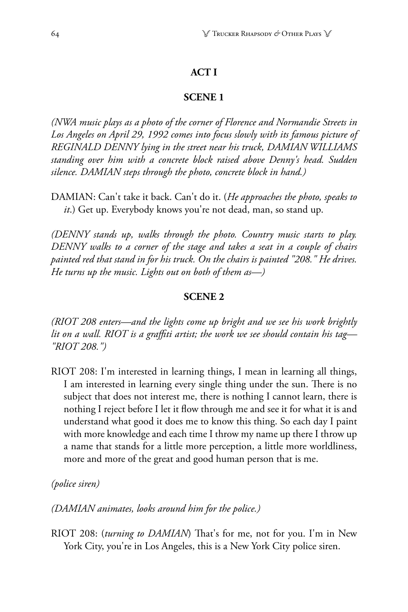### **ACT I**

#### **SCENE 1**

*(NWA music plays as a photo of the corner of Florence and Normandie Streets in Los Angeles on April 29, 1992 comes into focus slowly with its famous picture of REGINALD DENNY lying in the street near his truck, DAMIAN WILLIAMS standing over him with a concrete block raised above Denny's head. Sudden silence. DAMIAN steps through the photo, concrete block in hand.)* 

DAMIAN: Can't take it back. Can't do it. (*He approaches the photo, speaks to it*.) Get up. Everybody knows you're not dead, man, so stand up.

*(DENNY stands up, walks through the photo. Country music starts to play. DENNY walks to a corner of the stage and takes a seat in a couple of chairs painted red that stand in for his truck. On the chairs is painted "208." He drives. He turns up the music. Lights out on both of them as—)*

#### **SCENE 2**

*(RIOT 208 enters—and the lights come up bright and we see his work brightly lit on a wall. RIOT is a graffiti artist; the work we see should contain his tag— "RIOT 208.")*

RIOT 208: I'm interested in learning things, I mean in learning all things, I am interested in learning every single thing under the sun. There is no subject that does not interest me, there is nothing I cannot learn, there is nothing I reject before I let it flow through me and see it for what it is and understand what good it does me to know this thing. So each day I paint with more knowledge and each time I throw my name up there I throw up a name that stands for a little more perception, a little more worldliness, more and more of the great and good human person that is me.

*(police siren)*

*(DAMIAN animates, looks around him for the police.)* 

RIOT 208: (*turning to DAMIAN*) That's for me, not for you. I'm in New York City, you're in Los Angeles, this is a New York City police siren.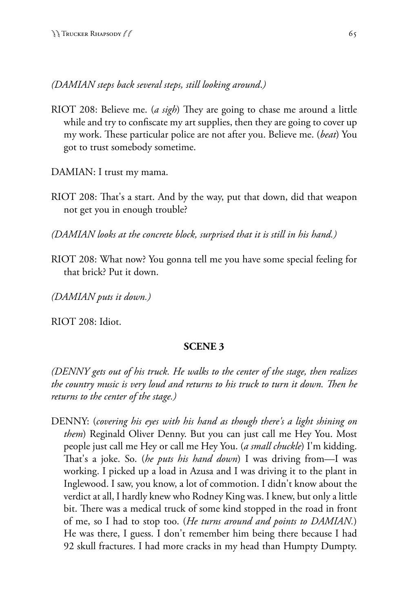*(DAMIAN steps back several steps, still looking around*.*)*

RIOT 208: Believe me. (*a sigh*) They are going to chase me around a little while and try to confiscate my art supplies, then they are going to cover up my work. These particular police are not after you. Believe me. (*beat*) You got to trust somebody sometime.

DAMIAN: I trust my mama.

RIOT 208: That's a start. And by the way, put that down, did that weapon not get you in enough trouble?

*(DAMIAN looks at the concrete block, surprised that it is still in his hand.)* 

RIOT 208: What now? You gonna tell me you have some special feeling for that brick? Put it down.

*(DAMIAN puts it down.)* 

RIOT 208: Idiot.

#### **SCENE 3**

*(DENNY gets out of his truck. He walks to the center of the stage, then realizes the country music is very loud and returns to his truck to turn it down. Then he returns to the center of the stage.)* 

DENNY: (*covering his eyes with his hand as though there's a light shining on them*) Reginald Oliver Denny. But you can just call me Hey You. Most people just call me Hey or call me Hey You. (*a small chuckle*) I'm kidding. That's a joke. So. (*he puts his hand down*) I was driving from—I was working. I picked up a load in Azusa and I was driving it to the plant in Inglewood. I saw, you know, a lot of commotion. I didn't know about the verdict at all, I hardly knew who Rodney King was. I knew, but only a little bit. There was a medical truck of some kind stopped in the road in front of me, so I had to stop too. (*He turns around and points to DAMIAN.*) He was there, I guess. I don't remember him being there because I had 92 skull fractures. I had more cracks in my head than Humpty Dumpty.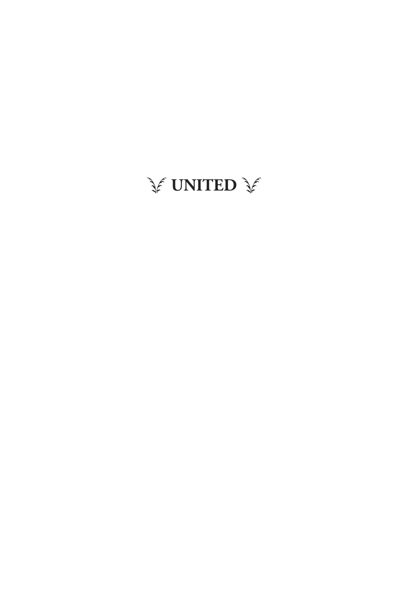# ST **UNITED** ST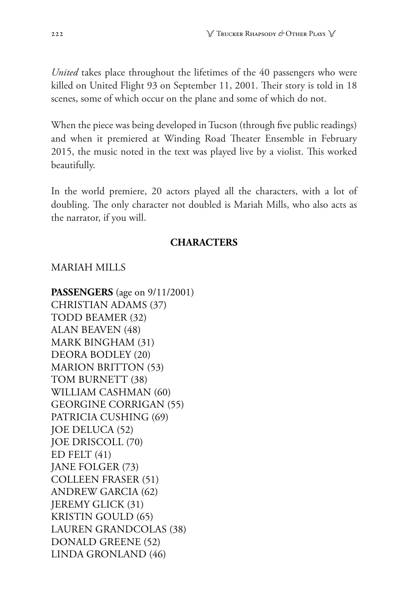*United* takes place throughout the lifetimes of the 40 passengers who were killed on United Flight 93 on September 11, 2001. Their story is told in 18 scenes, some of which occur on the plane and some of which do not.

When the piece was being developed in Tucson (through five public readings) and when it premiered at Winding Road Theater Ensemble in February 2015, the music noted in the text was played live by a violist. This worked beautifully.

In the world premiere, 20 actors played all the characters, with a lot of doubling. The only character not doubled is Mariah Mills, who also acts as the narrator, if you will.

### **CHARACTERS**

### MARIAH MILLS

**PASSENGERS** (age on 9/11/2001) CHRISTIAN ADAMS (37) TODD BEAMER (32) ALAN BEAVEN (48) MARK BINGHAM (31) DEORA BODLEY (20) MARION BRITTON (53) TOM BURNETT (38) WILLIAM CASHMAN (60) GEORGINE CORRIGAN (55) PATRICIA CUSHING (69) JOE DELUCA (52) JOE DRISCOLL (70) ED FELT (41) JANE FOLGER (73) COLLEEN FRASER (51) ANDREW GARCIA (62) JEREMY GLICK (31) KRISTIN GOULD (65) LAUREN GRANDCOLAS (38) DONALD GREENE (52) LINDA GRONLAND (46)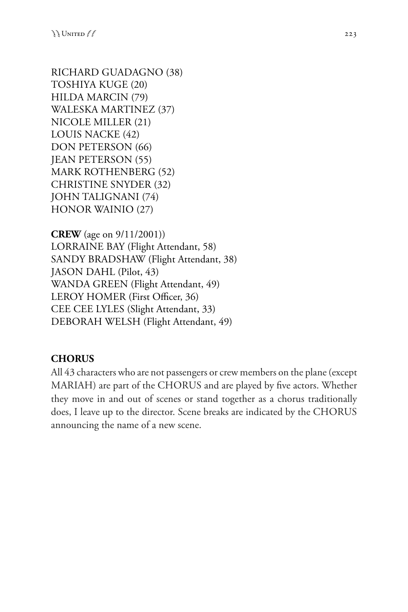RICHARD GUADAGNO (38) TOSHIYA KUGE (20) HILDA MARCIN (79) WALESKA MARTINEZ (37) NICOLE MILLER (21) LOUIS NACKE (42) DON PETERSON (66) JEAN PETERSON (55) MARK ROTHENBERG (52) CHRISTINE SNYDER (32) JOHN TALIGNANI (74) HONOR WAINIO (27)

**CREW** (age on 9/11/2001)) LORRAINE BAY (Flight Attendant, 58) SANDY BRADSHAW (Flight Attendant, 38) JASON DAHL (Pilot, 43) WANDA GREEN (Flight Attendant, 49) LEROY HOMER (First Officer, 36) CEE CEE LYLES (Slight Attendant, 33) DEBORAH WELSH (Flight Attendant, 49)

## **CHORUS**

All 43 characters who are not passengers or crew members on the plane (except MARIAH) are part of the CHORUS and are played by five actors. Whether they move in and out of scenes or stand together as a chorus traditionally does, I leave up to the director. Scene breaks are indicated by the CHORUS announcing the name of a new scene.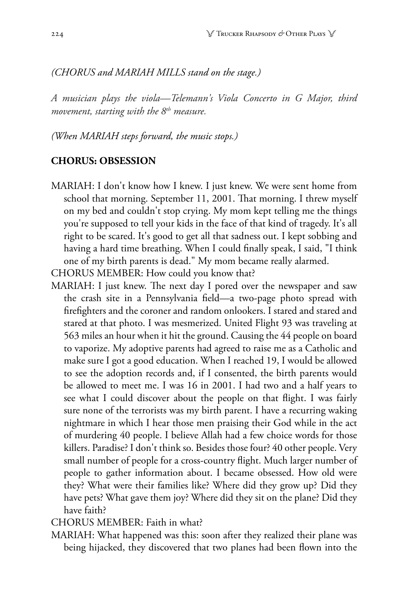#### *(CHORUS and MARIAH MILLS stand on the stage.)*

*A musician plays the viola—Telemann's Viola Concerto in G Major, third movement, starting with the 8th measure.* 

*(When MARIAH steps forward, the music stops.)*

#### **CHORUS: OBSESSION**

- MARIAH: I don't know how I knew. I just knew. We were sent home from school that morning. September 11, 2001. That morning. I threw myself on my bed and couldn't stop crying. My mom kept telling me the things you're supposed to tell your kids in the face of that kind of tragedy. It's all right to be scared. It's good to get all that sadness out. I kept sobbing and having a hard time breathing. When I could finally speak, I said, "I think one of my birth parents is dead." My mom became really alarmed.
- CHORUS MEMBER: How could you know that?
- MARIAH: I just knew. The next day I pored over the newspaper and saw the crash site in a Pennsylvania field—a two-page photo spread with firefighters and the coroner and random onlookers. I stared and stared and stared at that photo. I was mesmerized. United Flight 93 was traveling at 563 miles an hour when it hit the ground. Causing the 44 people on board to vaporize. My adoptive parents had agreed to raise me as a Catholic and make sure I got a good education. When I reached 19, I would be allowed to see the adoption records and, if I consented, the birth parents would be allowed to meet me. I was 16 in 2001. I had two and a half years to see what I could discover about the people on that flight. I was fairly sure none of the terrorists was my birth parent. I have a recurring waking nightmare in which I hear those men praising their God while in the act of murdering 40 people. I believe Allah had a few choice words for those killers. Paradise? I don't think so. Besides those four? 40 other people. Very small number of people for a cross-country flight. Much larger number of people to gather information about. I became obsessed. How old were they? What were their families like? Where did they grow up? Did they have pets? What gave them joy? Where did they sit on the plane? Did they have faith?

CHORUS MEMBER: Faith in what?

MARIAH: What happened was this: soon after they realized their plane was being hijacked, they discovered that two planes had been flown into the